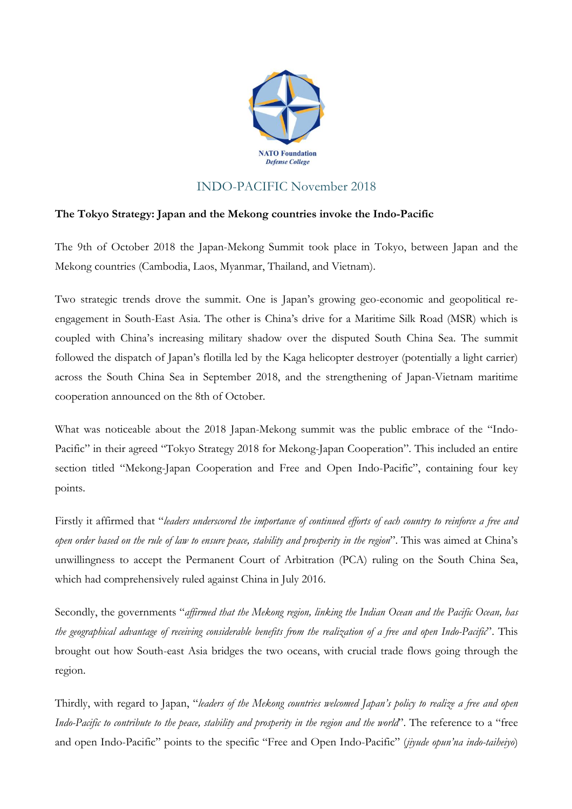

## INDO-PACIFIC November 2018

## **The Tokyo Strategy: Japan and the Mekong countries invoke the Indo-Pacific**

The 9th of October 2018 the Japan-Mekong Summit took place in Tokyo, between Japan and the Mekong countries (Cambodia, Laos, Myanmar, Thailand, and Vietnam).

Two strategic trends drove the summit. One is Japan's growing geo-economic and geopolitical reengagement in South-East Asia. The other is China's drive for a Maritime Silk Road (MSR) which is coupled with China's increasing military shadow over the disputed South China Sea. The summit followed the dispatch of Japan's flotilla led by the Kaga helicopter destroyer (potentially a light carrier) across the South China Sea in September 2018, and the strengthening of Japan-Vietnam maritime cooperation announced on the 8th of October.

What was noticeable about the 2018 Japan-Mekong summit was the public embrace of the "Indo-Pacific" in their agreed "Tokyo Strategy 2018 for Mekong-Japan Cooperation". This included an entire section titled "Mekong-Japan Cooperation and Free and Open Indo-Pacific", containing four key points.

Firstly it affirmed that "*leaders underscored the importance of continued efforts of each country to reinforce a free and open order based on the rule of law to ensure peace, stability and prosperity in the region*". This was aimed at China's unwillingness to accept the Permanent Court of Arbitration (PCA) ruling on the South China Sea, which had comprehensively ruled against China in July 2016.

Secondly, the governments "*affirmed that the Mekong region, linking the Indian Ocean and the Pacific Ocean, has the geographical advantage of receiving considerable benefits from the realization of a free and open Indo-Pacific*". This brought out how South-east Asia bridges the two oceans, with crucial trade flows going through the region.

Thirdly, with regard to Japan, "*leaders of the Mekong countries welcomed Japan's policy to realize a free and open Indo-Pacific to contribute to the peace, stability and prosperity in the region and the world*". The reference to a "free and open Indo-Pacific" points to the specific "Free and Open Indo-Pacific" (*jiyude opun'na indo-taiheiyo*)